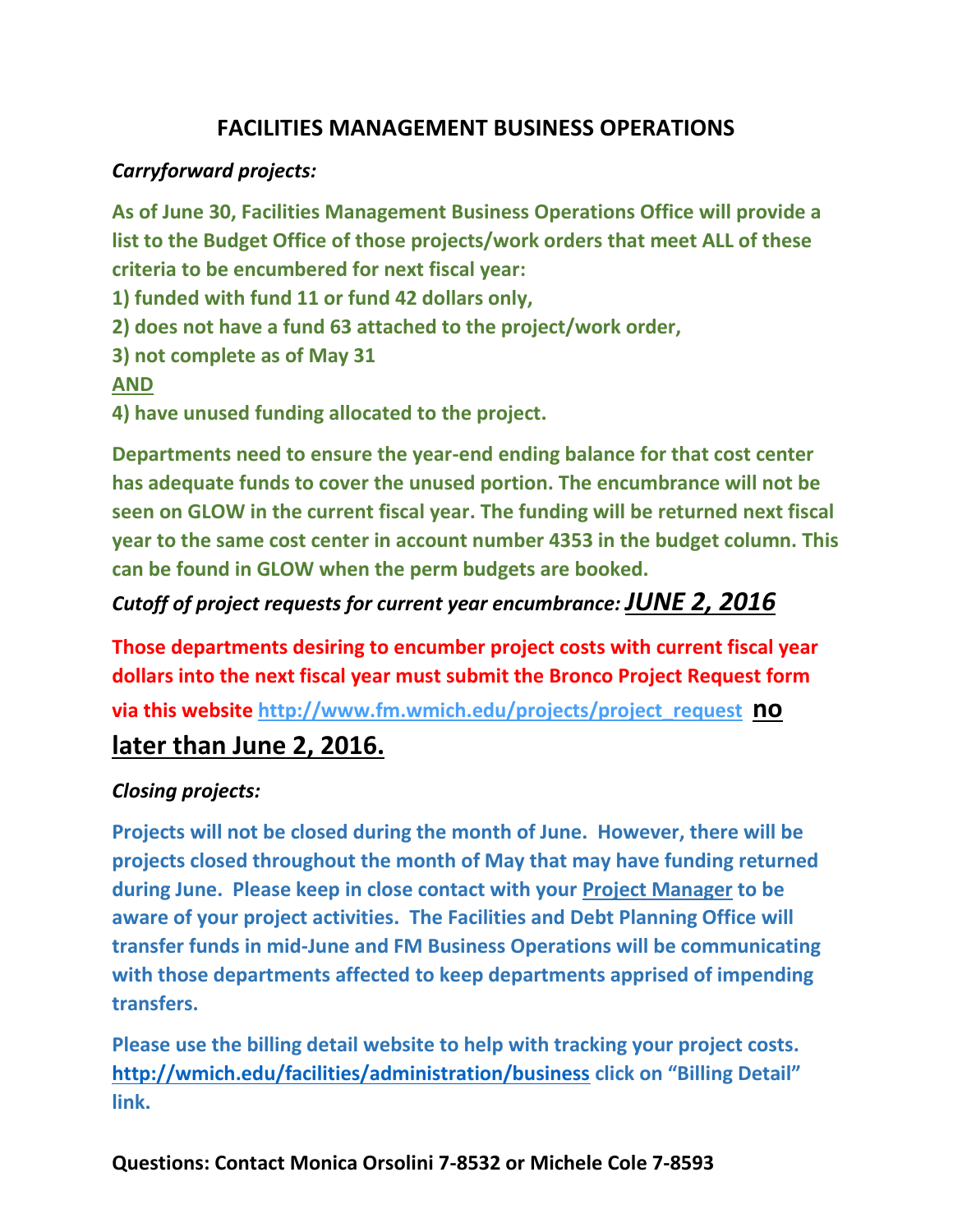# **FACILITIES MANAGEMENT BUSINESS OPERATIONS**

### *Carryforward projects:*

**As of June 30, Facilities Management Business Operations Office will provide a list to the Budget Office of those projects/work orders that meet ALL of these criteria to be encumbered for next fiscal year:**

**1) funded with fund 11 or fund 42 dollars only,** 

**2) does not have a fund 63 attached to the project/work order,**

**3) not complete as of May 31**

#### **AND**

**4) have unused funding allocated to the project.**

**Departments need to ensure the year-end ending balance for that cost center has adequate funds to cover the unused portion. The encumbrance will not be seen on GLOW in the current fiscal year. The funding will be returned next fiscal year to the same cost center in account number 4353 in the budget column. This can be found in GLOW when the perm budgets are booked.** 

## *Cutoff of project requests for current year encumbrance: JUNE 2, 2016*

**Those departments desiring to encumber project costs with current fiscal year dollars into the next fiscal year must submit the Bronco Project Request form** 

**via this website [http://www.fm.wmich.edu/projects/project\\_request](http://www.fm.wmich.edu/projects/project_request) no** 

# **later than June 2, 2016.**

#### *Closing projects:*

**Projects will not be closed during the month of June. However, there will be projects closed throughout the month of May that may have funding returned during June. Please keep in close contact with your Project Manager to be aware of your project activities. The Facilities and Debt Planning Office will transfer funds in mid-June and FM Business Operations will be communicating with those departments affected to keep departments apprised of impending transfers.**

**Please use the billing detail website to help with tracking your project costs. <http://wmich.edu/facilities/administration/business> click on "Billing Detail" link.**